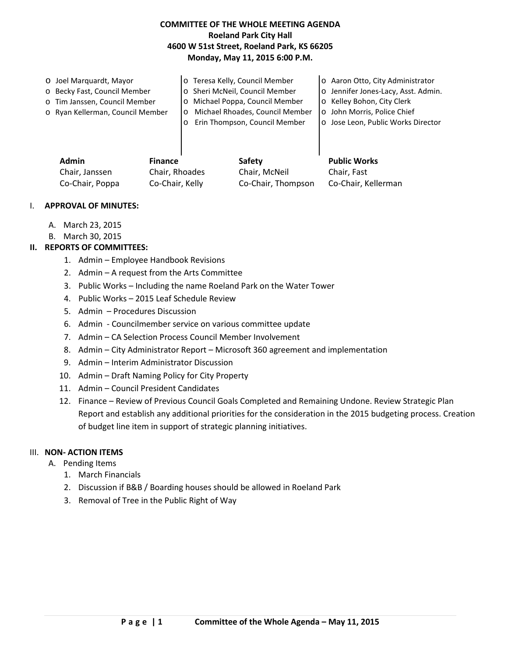## **COMMITTEE OF THE WHOLE MEETING AGENDA Roeland Park City Hall 4600 W 51st Street, Roeland Park, KS 66205 Monday, May 11, 2015 6:00 P.M.**

o Joel Marquardt, Mayor o Becky Fast, Council Member o Tim Janssen, Council Member o Ryan Kellerman, Council Member o Teresa Kelly, Council Member o Sheri McNeil, Council Member o Michael Poppa, Council Member o Michael Rhoades, Council Member o Erin Thompson, Council Member o Aaron Otto, City Administrator o Jennifer Jones-Lacy, Asst. Admin. o Kelley Bohon, City Clerk o John Morris, Police Chief o Jose Leon, Public Works Director

| Admin           | <b>Finance</b>  | Safety             | <b>Public Works</b> |
|-----------------|-----------------|--------------------|---------------------|
| Chair, Janssen  | Chair, Rhoades  | Chair, McNeil      | Chair. Fast         |
| Co-Chair, Poppa | Co-Chair, Kelly | Co-Chair, Thompson | Co-Chair, Kellerman |

#### I. **APPROVAL OF MINUTES:**

- A. March 23, 2015
- B. March 30, 2015

### **II. REPORTS OF COMMITTEES:**

- 1. Admin Employee Handbook Revisions
- 2. Admin A request from the Arts Committee
- 3. Public Works Including the name Roeland Park on the Water Tower
- 4. Public Works 2015 Leaf Schedule Review
- 5. Admin Procedures Discussion
- 6. Admin Councilmember service on various committee update
- 7. Admin CA Selection Process Council Member Involvement
- 8. Admin City Administrator Report Microsoft 360 agreement and implementation
- 9. Admin Interim Administrator Discussion
- 10. Admin Draft Naming Policy for City Property
- 11. Admin Council President Candidates
- 12. Finance Review of Previous Council Goals Completed and Remaining Undone. Review Strategic Plan Report and establish any additional priorities for the consideration in the 2015 budgeting process. Creation of budget line item in support of strategic planning initiatives.

#### III. **NON- ACTION ITEMS**

- A. Pending Items
	- 1. March Financials
	- 2. Discussion if B&B / Boarding houses should be allowed in Roeland Park
	- 3. Removal of Tree in the Public Right of Way